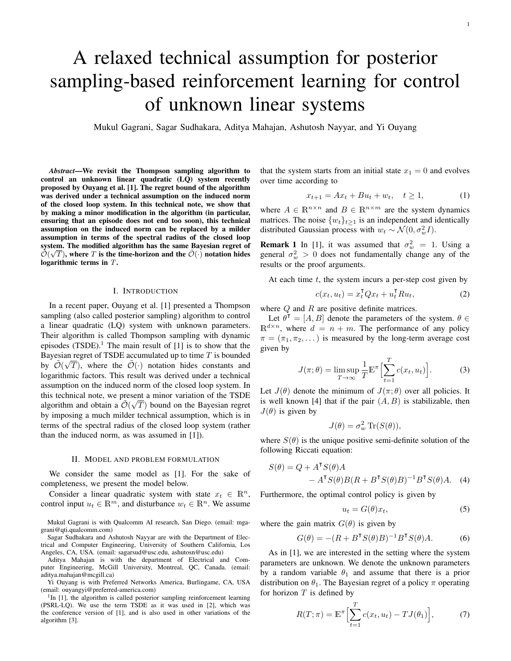# A relaxed technical assumption for posterior sampling-based reinforcement learning for control of unknown linear systems

Mukul Gagrani, Sagar Sudhakara, Aditya Mahajan, Ashutosh Nayyar, and Yi Ouyang

*Abstract*—We revisit the Thompson sampling algorithm to control an unknown linear quadratic (LQ) system recently proposed by Ouyang et al. [1]. The regret bound of the algorithm was derived under a technical assumption on the induced norm of the closed loop system. In this technical note, we show that by making a minor modification in the algorithm (in particular, ensuring that an episode does not end too soon), this technical assumption on the induced norm can be replaced by a milder assumption in terms of the spectral radius of the closed loop system. The modified algorithm has the same Bayesian regret of  $\tilde{\mathcal{O}}(\sqrt{T})$ , where T is the time-horizon and the  $\tilde{\mathcal{O}}(\cdot)$  notation hides logarithmic terms in T.

#### I. INTRODUCTION

In a recent paper, Ouyang et al. [1] presented a Thompson sampling (also called posterior sampling) algorithm to control a linear quadratic (LQ) system with unknown parameters. Their algorithm is called Thompson sampling with dynamic episodes  $(TSDE)^{1}$ . The main result of  $[1]$  is to show that the Bayesian regret of TSDE accumulated up to time T is bounded by  $\tilde{\mathcal{O}}(\sqrt{T})$ , where the  $\tilde{\mathcal{O}}(\cdot)$  notation hides constants and logarithmic factors. This result was derived under a technical assumption on the induced norm of the closed loop system. In this technical note, we present a minor variation of the TSDE algorithm and obtain a  $\tilde{\mathcal{O}}(\sqrt{T})$  bound on the Bayesian regret by imposing a much milder technical assumption, which is in terms of the spectral radius of the closed loop system (rather than the induced norm, as was assumed in [1]).

# II. MODEL AND PROBLEM FORMULATION

We consider the same model as [1]. For the sake of completeness, we present the model below.

Consider a linear quadratic system with state  $x_t \in \mathbb{R}^n$ , control input  $u_t \in \mathbb{R}^m$ , and disturbance  $w_t \in \mathbb{R}^n$ . We assume

Mukul Gagrani is with Qualcomm AI research, San Diego. (email: mgagrani@qti.qualcomm.com)

Sagar Sudhakara and Ashutosh Nayyar are with the Department of Electrical and Computer Engineering, University of Southern California, Los Angeles, CA, USA. (email: sagarsud@usc.edu, ashutosn@usc.edu)

Aditya Mahajan is with the department of Electrical and Computer Engineering, McGill University, Montreal, QC, Canada. (email: aditya.mahajan@mcgill.ca)

Yi Ouyang is with Preferred Networks America, Burlingame, CA, USA (email: ouyangyi@preferred-america.com)

<sup>1</sup>In [1], the algorithm is called posterior sampling reinforcement learning (PSRL-LQ). We use the term TSDE as it was used in [2], which was the conference version of [1], and is also used in other variations of the algorithm [3].

that the system starts from an initial state  $x_1 = 0$  and evolves over time according to

$$
x_{t+1} = Ax_t + Bu_t + w_t, \quad t \ge 1,
$$
 (1)

where  $A \in \mathbb{R}^{n \times n}$  and  $B \in \mathbb{R}^{n \times m}$  are the system dynamics matrices. The noise  $\{w_t\}_{t\geq 1}$  is an independent and identically distributed Gaussian process with  $w_t \sim \mathcal{N}(0, \sigma_w^2 I)$ .

**Remark 1** In [1], it was assumed that  $\sigma_w^2 = 1$ . Using a general  $\sigma_w^2 > 0$  does not fundamentally change any of the results or the proof arguments.

At each time  $t$ , the system incurs a per-step cost given by

$$
c(x_t, u_t) = x_t^\mathsf{T} Q x_t + u_t^\mathsf{T} R u_t,\tag{2}
$$

where  $Q$  and  $R$  are positive definite matrices.

Let  $\theta^T = [A, B]$  denote the parameters of the system.  $\theta \in$  $\mathbb{R}^{d \times n}$ , where  $d = n + m$ . The performance of any policy  $\pi = (\pi_1, \pi_2, \dots)$  is measured by the long-term average cost given by

$$
J(\pi; \theta) = \limsup_{T \to \infty} \frac{1}{T} \mathbb{E}^{\pi} \Big[ \sum_{t=1}^{T} c(x_t, u_t) \Big]. \tag{3}
$$

Let  $J(\theta)$  denote the minimum of  $J(\pi;\theta)$  over all policies. It is well known [4] that if the pair  $(A, B)$  is stabilizable, then  $J(\theta)$  is given by

$$
J(\theta) = \sigma_w^2 \operatorname{Tr}(S(\theta)),
$$

where  $S(\theta)$  is the unique positive semi-definite solution of the following Riccati equation:

$$
S(\theta) = Q + A^{\mathsf{T}} S(\theta) A
$$
  
-  $A^{\mathsf{T}} S(\theta) B(R + B^{\mathsf{T}} S(\theta) B)^{-1} B^{\mathsf{T}} S(\theta) A.$  (4)

Furthermore, the optimal control policy is given by

$$
u_t = G(\theta)x_t,\tag{5}
$$

where the gain matrix  $G(\theta)$  is given by

$$
G(\theta) = -(R + B^{\mathsf{T}} S(\theta) B)^{-1} B^{\mathsf{T}} S(\theta) A.
$$
 (6)

As in [1], we are interested in the setting where the system parameters are unknown. We denote the unknown parameters by a random variable  $\theta_1$  and assume that there is a prior distribution on  $\theta_1$ . The Bayesian regret of a policy  $\pi$  operating for horizon  $T$  is defined by

$$
R(T; \pi) = \mathbb{E}^{\pi} \Big[ \sum_{t=1}^{T} c(x_t, u_t) - TJ(\theta_1) \Big], \tag{7}
$$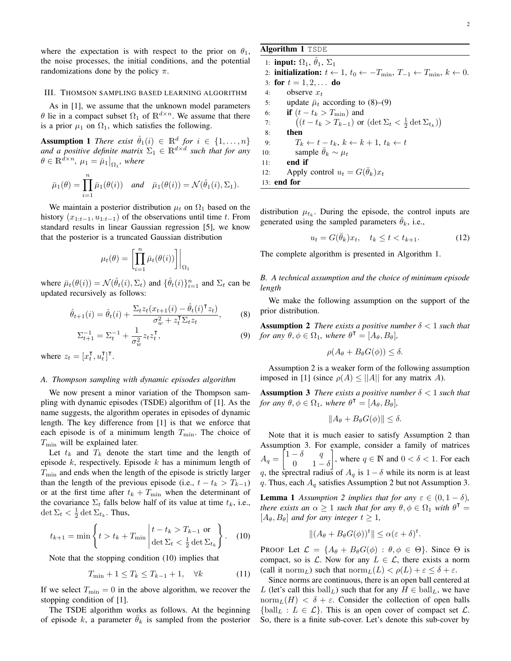where the expectation is with respect to the prior on  $\theta_1$ , the noise processes, the initial conditions, and the potential randomizations done by the policy π.

#### III. THOMSON SAMPLING BASED LEARNING ALGORITHM

As in [1], we assume that the unknown model parameters θ lie in a compact subset  $\Omega_1$  of  $\mathbb{R}^{d \times n}$ . We assume that there is a prior  $\mu_1$  on  $\Omega_1$ , which satisfies the following.

**Assumption 1** *There exist*  $\hat{\theta}_1(i) \in \mathbb{R}^d$  *for*  $i \in \{1, ..., n\}$ and a positive definite matrix  $\Sigma_1 \in \mathbb{R}^{d \times d}$  such that for any  $\theta \in \mathbb{R}^{\bar{d} \times n}$ ,  $\mu_1 = \bar{\mu}_1 \big|_{\Omega_1}$ , where

$$
\bar{\mu}_1(\theta) = \prod_{i=1}^n \bar{\mu}_1(\theta(i)) \quad \text{and} \quad \bar{\mu}_1(\theta(i)) = \mathcal{N}(\hat{\theta}_1(i), \Sigma_1).
$$

We maintain a posterior distribution  $\mu_t$  on  $\Omega_1$  based on the history  $(x_{1:t-1}, u_{1:t-1})$  of the observations until time t. From standard results in linear Gaussian regression [5], we know that the posterior is a truncated Gaussian distribution

$$
\mu_t(\theta) = \left[ \prod_{i=1}^n \bar{\mu}_t(\theta(i)) \right] \bigg|_{\Omega_1}
$$

where  $\bar{\mu}_t(\theta(i)) = \mathcal{N}(\hat{\theta}_t(i), \Sigma_t)$  and  $\{\hat{\theta}_t(i)\}_{i=1}^n$  and  $\Sigma_t$  can be updated recursively as follows:

$$
\hat{\theta}_{t+1}(i) = \hat{\theta}_t(i) + \frac{\Sigma_t z_t (x_{t+1}(i) - \hat{\theta}_t(i)^\mathsf{T} z_t)}{\sigma_w^2 + z_t^\mathsf{T} \Sigma_t z_t},\tag{8}
$$

$$
\Sigma_{t+1}^{-1} = \Sigma_t^{-1} + \frac{1}{\sigma_w^2} z_t z_t^{\mathsf{T}},\tag{9}
$$

where  $z_t = [x_t^{\mathsf{T}}]$  $_t^{\mathsf{T}}, u_t^{\mathsf{T}}$  $_t^{\intercal}]^{\intercal}$ .

#### *A. Thompson sampling with dynamic episodes algorithm*

We now present a minor variation of the Thompson sampling with dynamic episodes (TSDE) algorithm of [1]. As the name suggests, the algorithm operates in episodes of dynamic length. The key difference from [1] is that we enforce that each episode is of a minimum length  $T_{\text{min}}$ . The choice of  $T_{\min}$  will be explained later.

Let  $t_k$  and  $T_k$  denote the start time and the length of episode  $k$ , respectively. Episode  $k$  has a minimum length of  $T_{\text{min}}$  and ends when the length of the episode is strictly larger than the length of the previous episode (i.e.,  $t - t_k > T_{k-1}$ ) or at the first time after  $t_k + T_{\text{min}}$  when the determinant of the covariance  $\Sigma_t$  falls below half of its value at time  $t_k$ , i.e.,  $\det \Sigma_t < \frac{1}{2} \det \Sigma_{t_k}$ . Thus,

$$
t_{k+1} = \min\left\{t > t_k + T_{\min}\left|\frac{t - t_k > T_{k-1} \text{ or } }{\det \Sigma_t < \frac{1}{2}\det \Sigma_{t_k}}\right.\right\}.
$$
 (10)

Note that the stopping condition (10) implies that

$$
T_{\min} + 1 \le T_k \le T_{k-1} + 1, \quad \forall k \tag{11}
$$

If we select  $T_{\text{min}} = 0$  in the above algorithm, we recover the stopping condition of [1].

The TSDE algorithm works as follows. At the beginning of episode k, a parameter  $\bar{\theta}_k$  is sampled from the posterior

# Algorithm 1 TSDE

1: **input:**  $\Omega_1$ ,  $\hat{\theta}_1$ ,  $\Sigma_1$ 2: **initialization:**  $t \leftarrow 1$ ,  $t_0 \leftarrow -T_{\min}$ ,  $T_{-1} \leftarrow T_{\min}$ ,  $k \leftarrow 0$ . 3: for  $t = 1, 2, ...$  do 4: observe  $x_t$ 5: update  $\bar{\mu}_t$  according to (8)–(9) 6: **if**  $(t - t_k > T_{\text{min}})$  and 7:  $(t - t_k > T_{k-1})$  or  $(\det \Sigma_t < \frac{1}{2} \det \Sigma_{t_k})$ 8: then 9:  $T_k \leftarrow t - t_k, k \leftarrow k + 1, t_k \leftarrow t$ 10: sample  $\theta_k \sim \mu_t$ 11: end if 12: Apply control  $u_t = G(\bar{\theta}_k)x_t$ 13: end for

distribution  $\mu_{t_k}$ . During the episode, the control inputs are generated using the sampled parameters  $\theta_k$ , i.e.,

$$
u_t = G(\bar{\theta}_k)x_t, \quad t_k \le t < t_{k+1}.\tag{12}
$$

The complete algorithm is presented in Algorithm 1.

*B. A technical assumption and the choice of minimum episode length*

We make the following assumption on the support of the prior distribution.

Assumption 2 *There exists a positive number* δ < 1 *such that for any*  $\theta, \phi \in \Omega_1$ *, where*  $\theta^{\mathsf{T}} = [A_{\theta}, B_{\theta}]$ *,* 

$$
\rho(A_{\theta} + B_{\theta}G(\phi)) \leq \delta.
$$

Assumption 2 is a weaker form of the following assumption imposed in [1] (since  $\rho(A) \le ||A||$  for any matrix A).

Assumption 3 *There exists a positive number* δ < 1 *such that for any*  $\theta, \phi \in \Omega_1$ *, where*  $\theta^{\mathsf{T}} = [A_{\theta}, B_{\theta}]$ *,* 

$$
||A_{\theta} + B_{\theta}G(\phi)|| \leq \delta.
$$

Note that it is much easier to satisfy Assumption 2 than Assumption 3. For example, consider a family of matrices  $A_q =$  $\begin{bmatrix} 1 - \delta & q \end{bmatrix}$ 0  $1-\delta$ , where  $q \in \mathbb{N}$  and  $0 < \delta < 1$ . For each q, the sprectral radius of  $A_q$  is  $1 - \delta$  while its norm is at least q. Thus, each  $A_q$  satisfies Assumption 2 but not Assumption 3.

**Lemma 1** Assumption 2 implies that for any  $\varepsilon \in (0, 1 - \delta)$ , *there exists an*  $\alpha \geq 1$  *such that for any*  $\theta, \phi \in \Omega_1$  *with*  $\theta^{\mathsf{T}} =$  $[A_\theta, B_\theta]$  *and for any integer*  $t \geq 1$ *,* 

$$
||(A_{\theta} + B_{\theta}G(\phi))^t|| \leq \alpha(\varepsilon + \delta)^t.
$$

PROOF Let  $\mathcal{L} = \{A_{\theta} + B_{\theta}G(\phi) : \theta, \phi \in \Theta\}$ . Since  $\Theta$  is compact, so is  $\mathcal{L}$ . Now for any  $L \in \mathcal{L}$ , there exists a norm (call it norm<sub>L</sub>) such that  $\text{norm}_L(L) < \rho(L) + \varepsilon \leq \delta + \varepsilon$ .

Since norms are continuous, there is an open ball centered at L (let's call this  $ball_L$ ) such that for any  $H \in ball_L$ , we have norm<sub>L</sub>(H)  $\lt \delta + \varepsilon$ . Consider the collection of open balls  ${\text{ball}_L : L \in \mathcal{L}}$ . This is an open cover of compact set  $\mathcal{L}$ . So, there is a finite sub-cover. Let's denote this sub-cover by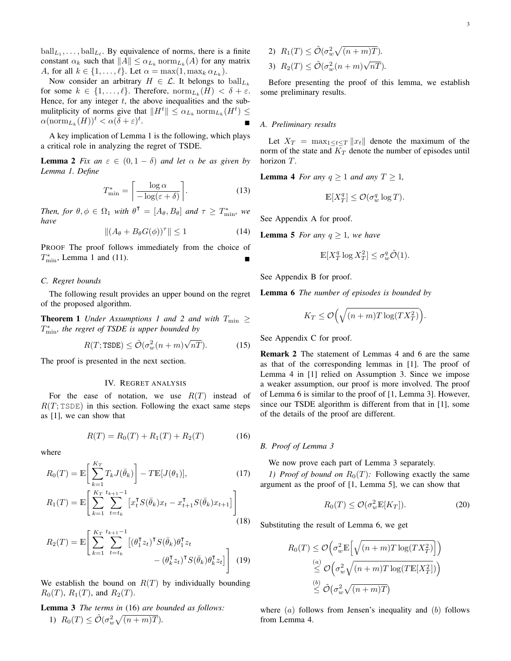Now consider an arbitrary  $H \in \mathcal{L}$ . It belongs to  $ball_{L_k}$ for some  $k \in \{1, \ldots, \ell\}$ . Therefore,  $\mathrm{norm}_{L_k}(H) < \delta + \varepsilon$ . Hence, for any integer  $t$ , the above inequalities and the submulitplicity of norms give that  $||H^t|| \leq \alpha_{L_k} \text{norm}_{L_k}(H^t) \leq$  $\alpha(\mathrm{norm}_{L_k}(H))^t < \alpha(\delta + \varepsilon)^t$ .

A key implication of Lemma 1 is the following, which plays a critical role in analyzing the regret of TSDE.

**Lemma 2** *Fix an*  $\varepsilon \in (0, 1 - \delta)$  *and let*  $\alpha$  *be as given by Lemma 1. Define*

$$
T_{\min}^* = \left\lceil \frac{\log \alpha}{-\log(\varepsilon + \delta)} \right\rceil. \tag{13}
$$

*Then, for*  $\theta, \phi \in \Omega_1$  *with*  $\theta^{\mathsf{T}} = [A_{\theta}, B_{\theta}]$  *and*  $\tau \geq T_{\min}^*$ , *we have*

$$
\|(A_{\theta} + B_{\theta}G(\phi))^{\tau}\| \le 1
$$
\n(14)

PROOF The proof follows immediately from the choice of  $T_{\min}^*$ , Lemma 1 and (11).

## *C. Regret bounds*

The following result provides an upper bound on the regret of the proposed algorithm.

**Theorem 1** *Under Assumptions 1 and 2 and with*  $T_{\min} \geq$ T ∗ min*, the regret of TSDE is upper bounded by*

$$
R(T; \text{TSDE}) \le \tilde{\mathcal{O}}(\sigma_w^2(n+m)\sqrt{nT}).\tag{15}
$$

The proof is presented in the next section.

#### IV. REGRET ANALYSIS

For the ease of notation, we use  $R(T)$  instead of  $R(T; \text{TSDE})$  in this section. Following the exact same steps as [1], we can show that

$$
R(T) = R_0(T) + R_1(T) + R_2(T)
$$
 (16)

where

$$
R_0(T) = \mathbb{E}\left[\sum_{k=1}^{K_T} T_k J(\bar{\theta}_k)\right] - T \mathbb{E}[J(\theta_1)],\tag{17}
$$

$$
R_1(T) = \mathbb{E}\left[\sum_{k=1}^{K_T} \sum_{t=t_k}^{t_{k+1}-1} \left[x_t^{\mathsf{T}} S(\bar{\theta}_k) x_t - x_{t+1}^{\mathsf{T}} S(\bar{\theta}_k) x_{t+1}\right]\right]
$$
(18)

$$
R_2(T) = \mathbb{E}\left[\sum_{k=1}^{K_T} \sum_{t=t_k}^{t_{k+1}-1} \left[ (\theta_1^{\mathsf{T}} z_t)^{\mathsf{T}} S(\bar{\theta}_k) \theta_1^{\mathsf{T}} z_t - (\theta_k^{\mathsf{T}} z_t)^{\mathsf{T}} S(\bar{\theta}_k) \theta_k^{\mathsf{T}} z_t \right] \right]
$$
(19)

We establish the bound on  $R(T)$  by individually bounding  $R_0(T)$ ,  $R_1(T)$ , and  $R_2(T)$ .

Lemma 3 *The terms in* (16) *are bounded as follows:* 1)  $R_0(T) \leq \tilde{\mathcal{O}}(\sigma_w^2 \sqrt{(n+m)T}).$ 

2) 
$$
R_1(T) \leq \tilde{\mathcal{O}}(\sigma_w^2 \sqrt{(n+m)T}).
$$
  
3)  $R_2(T) \leq \tilde{\mathcal{O}}(\sigma_w^2 (n+m) \sqrt{nT}).$ 

Before presenting the proof of this lemma, we establish some preliminary results.

#### *A. Preliminary results*

Let  $X_T = \max_{1 \le t \le T} ||x_t||$  denote the maximum of the norm of the state and  $\overline{K}_T$  denote the number of episodes until horizon T.

**Lemma 4** *For any*  $q \geq 1$  *and any*  $T \geq 1$ *,* 

$$
\mathbb{E}[X_T^q] \leq \mathcal{O}(\sigma_w^q \log T).
$$

See Appendix A for proof.

**Lemma 5** *For any*  $q \geq 1$ *, we have* 

$$
\mathbb{E}[X_T^q \log X_T^2] \le \sigma_w^q \tilde{\mathcal{O}}(1).
$$

See Appendix B for proof.

Lemma 6 *The number of episodes is bounded by*

$$
K_T \le \mathcal{O}\left(\sqrt{(n+m)T\log(TX_T^2)}\right).
$$

See Appendix C for proof.

Remark 2 The statement of Lemmas 4 and 6 are the same as that of the corresponding lemmas in [1]. The proof of Lemma 4 in [1] relied on Assumption 3. Since we impose a weaker assumption, our proof is more involved. The proof of Lemma 6 is similar to the proof of [1, Lemma 3]. However, since our TSDE algorithm is different from that in [1], some of the details of the proof are different.

#### *B. Proof of Lemma 3*

We now prove each part of Lemma 3 separately.

*1) Proof of bound on*  $R_0(T)$ : Following exactly the same argument as the proof of [1, Lemma 5], we can show that

$$
R_0(T) \le \mathcal{O}(\sigma_w^2 \mathbb{E}[K_T]). \tag{20}
$$

Substituting the result of Lemma 6, we get

$$
R_0(T) \leq \mathcal{O}\left(\sigma_w^2 \mathbb{E}\left[\sqrt{(n+m)T\log(TX_T^2)}\right]\right)
$$
  
\n
$$
\leq \mathcal{O}\left(\sigma_w^2 \sqrt{(n+m)T\log(T\mathbb{E}[X_T^2])}\right)
$$
  
\n
$$
\leq \mathcal{O}\left(\sigma_w^2 \sqrt{(n+m)T}\right)
$$

where  $(a)$  follows from Jensen's inequality and  $(b)$  follows from Lemma 4.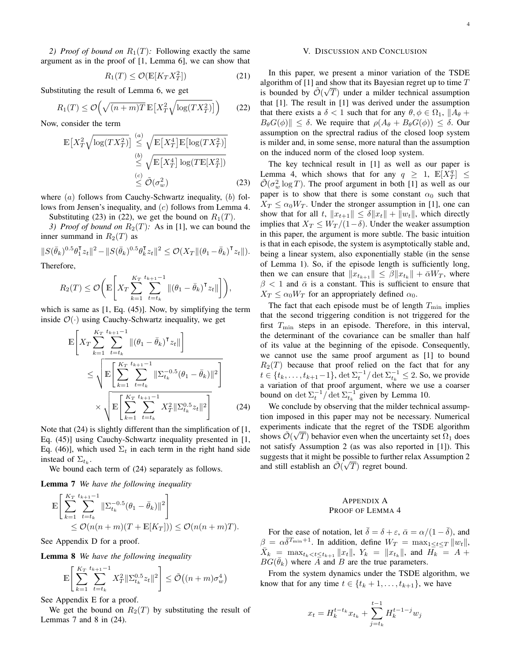2) *Proof of bound on*  $R_1(T)$ : Following exactly the same argument as in the proof of [1, Lemma 6], we can show that

$$
R_1(T) \le \mathcal{O}(\mathbb{E}[K_T X_T^2])\tag{21}
$$

Substituting the result of Lemma 6, we get

$$
R_1(T) \le \mathcal{O}\left(\sqrt{(n+m)T} \mathbb{E}\left[X_T^2 \sqrt{\log(TX_T^2)}\right]\right) \tag{22}
$$

Now, consider the term

$$
\mathbb{E}\left[X_T^2\sqrt{\log(TX_T^2)}\right] \stackrel{(a)}{\leq} \sqrt{\mathbb{E}\left[X_T^4\right]\mathbb{E}\left[\log(TX_T^2)\right]}
$$

$$
\stackrel{(b)}{\leq} \sqrt{\mathbb{E}\left[X_T^4\right]\log(T\mathbb{E}\left[X_T^2\right])}
$$

$$
\stackrel{(c)}{\leq} \tilde{\mathcal{O}}(\sigma_w^2) \tag{23}
$$

where  $(a)$  follows from Cauchy-Schwartz inequality,  $(b)$  follows from Jensen's inequality, and (c) follows from Lemma 4.

Substituting (23) in (22), we get the bound on  $R_1(T)$ . *3) Proof of bound on*  $R_2(T)$ : As in [1], we can bound the inner summand in  $R_2(T)$  as

 $||S(\bar{\theta}_k)^{0.5}\theta_1^{\intercal}$  $\frac{1}{2}z_t\|^2 - \|S(\bar{\theta}_k)^{0.5}\theta_k^{\intercal}$  $\|\bar{z}_t\|^2 \leq \mathcal{O}(X_T \|(\theta_1 - \bar{\theta}_k)^\mathsf{T} z_t\|).$ Therefore,

$$
R_2(T) \leq \mathcal{O}\bigg(\mathbb{E}\bigg[X_T \sum_{k=1}^{K_T} \sum_{t=t_k}^{t_{k+1}-1} \|(\theta_1 - \bar{\theta}_k)^\mathsf{T} z_t\|\bigg]\bigg),
$$

which is same as [1, Eq. (45)]. Now, by simplifying the term inside  $\mathcal{O}(\cdot)$  using Cauchy-Schwartz inequality, we get

$$
\mathbb{E}\left[X_{T}\sum_{k=1}^{K_{T}}\sum_{t=t_{k}}^{t_{k+1}-1} \|(\theta_{1}-\bar{\theta}_{k})^{\mathsf{T}}z_{t}\| \right]
$$
\n
$$
\leq \sqrt{\mathbb{E}\left[\sum_{k=1}^{K_{T}}\sum_{t=t_{k}}^{t_{k+1}-1} \|\Sigma_{t_{k}}^{-0.5}(\theta_{1}-\bar{\theta}_{k})\|^{2}\right]}
$$
\n
$$
\times \sqrt{\mathbb{E}\left[\sum_{k=1}^{K_{T}}\sum_{t=t_{k}}^{t_{k+1}-1} X_{T}^{2}\|\Sigma_{t_{k}}^{0.5}z_{t}\|^{2}\right]}
$$
\n(24)

Note that (24) is slightly different than the simplification of [1, Eq. (45)] using Cauchy-Schwartz inequality presented in [1, Eq. (46)], which used  $\Sigma_t$  in each term in the right hand side instead of  $\Sigma_{t_k}$ .

We bound each term of  $(24)$  separately as follows.

Lemma 7 *We have the following inequality*

$$
\mathbb{E}\left[\sum_{k=1}^{K_T} \sum_{t=t_k}^{t_{k+1}-1} \|\Sigma_{t_k}^{-0.5}(\theta_1 - \bar{\theta}_k)\|^2\right] \leq \mathcal{O}(n(n+m)(T + \mathbb{E}[K_T])) \leq \mathcal{O}(n(n+m)T).
$$

See Appendix D for a proof.

Lemma 8 *We have the following inequality*

$$
\mathbb{E}\left[\sum_{k=1}^{K_T} \sum_{t=t_k}^{t_{k+1}-1} X_T^2 \|\Sigma_{t_k}^{0.5} z_t\|^2\right] \le \tilde{\mathcal{O}}((n+m)\sigma_w^4)
$$

See Appendix E for a proof.

We get the bound on  $R_2(T)$  by substituting the result of Lemmas 7 and 8 in  $(24)$ .

# V. DISCUSSION AND CONCLUSION

In this paper, we present a minor variation of the TSDE algorithm of [1] and show that its Bayesian regret up to time  $T$ is bounded by  $\tilde{\mathcal{O}}(\sqrt{T})$  under a milder technical assumption that [1]. The result in [1] was derived under the assumption that there exists a  $\delta$  < 1 such that for any  $\theta$ ,  $\phi \in \Omega_1$ ,  $||A_{\theta} +$  $B_{\theta}G(\phi)\| \leq \delta$ . We require that  $\rho(A_{\theta} + B_{\theta}G(\phi)) \leq \delta$ . Our assumption on the sprectral radius of the closed loop system is milder and, in some sense, more natural than the assumption on the induced norm of the closed loop system.

The key technical result in [1] as well as our paper is Lemma 4, which shows that for any  $q \ge 1$ ,  $\mathbb{E}[X_T^q] \le$  $\tilde{\mathcal{O}}(\sigma_w^2 \log T)$ . The proof argument in both [1] as well as our paper is to show that there is some constant  $\alpha_0$  such that  $X_T \le \alpha_0 W_T$ . Under the stronger assumption in [1], one can show that for all t,  $||x_{t+1}|| \le \delta ||x_t|| + ||w_t||$ , which directly implies that  $X_T \leq W_T/(1-\delta)$ . Under the weaker assumption in this paper, the argument is more subtle. The basic intuition is that in each episode, the system is asymptotically stable and, being a linear system, also exponentially stable (in the sense of Lemma 1). So, if the episode length is sufficiently long, then we can ensure that  $||x_{t_{k+1}}|| \leq \beta ||x_{t_k}|| + \bar{\alpha}W_T$ , where  $\beta$  < 1 and  $\bar{\alpha}$  is a constant. This is sufficient to ensure that  $X_T \le \alpha_0 W_T$  for an appropriately defined  $\alpha_0$ .

The fact that each episode must be of length  $T_{\min}$  implies that the second triggering condition is not triggered for the first  $T_{\min}$  steps in an episode. Therefore, in this interval, the determinant of the covariance can be smaller than half of its value at the beginning of the episode. Consequently, we cannot use the same proof argument as [1] to bound  $R_2(T)$  because that proof relied on the fact that for any  $t \in \{t_k, \ldots, t_{k+1}-1\}$ , det  $\Sigma_t^{-1}/\det \Sigma_{t_k}^{-1} \leq 2$ . So, we provide a variation of that proof argument, where we use a coarser bound on  $\det \Sigma_t^{-1} / \det \Sigma_{t_k}^{-1}$  given by Lemma 10.

We conclude by observing that the milder technical assumption imposed in this paper may not be necessary. Numerical experiments indicate that the regret of the TSDE algorithm shows  $\tilde{\mathcal{O}}(\sqrt{T})$  behavior even when the uncertainty set  $\Omega_1$  does not satisfy Assumption 2 (as was also reported in [1]). This suggests that it might be possible to further relax Assumption 2 and still establish an  $\tilde{\mathcal{O}}(\sqrt{T})$  regret bound.

# APPENDIX A PROOF OF LEMMA 4

For the ease of notation, let  $\bar{\delta} = \delta + \varepsilon$ ,  $\bar{\alpha} = \alpha/(1 - \bar{\delta})$ , and  $\beta = \alpha \overline{\delta}^{T_{\min}+1}$ . In addition, define  $W_T = \max_{1 \leq t \leq T} ||w_t||$ ,  $\bar{X}_k = \max_{t_k \le t \le t_{k+1}} \|x_t\|, Y_k = \|x_{t_k}\|, \text{ and } \bar{H_k} = \bar{A} + \bar{A}$  $BG(\bar{\theta}_k)$  where  $\bar{A}$  and  $\bar{B}$  are the true parameters.

From the system dynamics under the TSDE algorithm, we know that for any time  $t \in \{t_k + 1, \ldots, t_{k+1}\}$ , we have

$$
x_{t} = H_{k}^{t-t_{k}} x_{t_{k}} + \sum_{j=t_{k}}^{t-1} H_{k}^{t-1-j} w_{j}
$$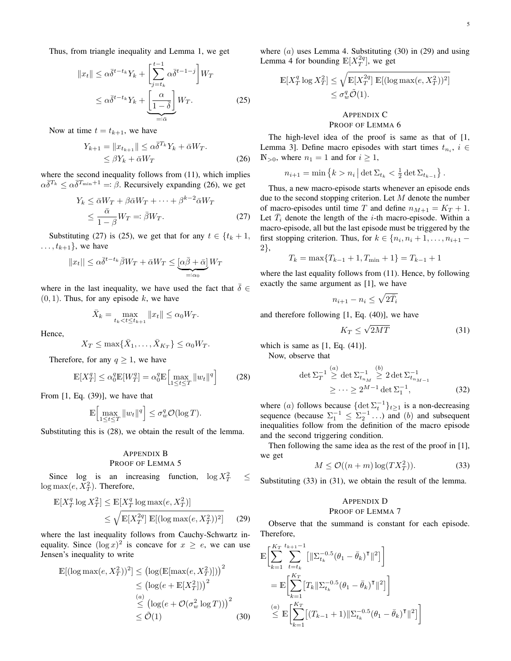Thus, from triangle inequality and Lemma 1, we get

$$
||x_t|| \leq \alpha \overline{\delta}^{t-t_k} Y_k + \left[\sum_{j=t_k}^{t-1} \alpha \overline{\delta}^{t-1-j}\right] W_T
$$
  

$$
\leq \alpha \overline{\delta}^{t-t_k} Y_k + \left[\frac{\alpha}{1-\overline{\delta}}\right] W_T.
$$
 (25)

Now at time  $t = t_{k+1}$ , we have

$$
Y_{k+1} = \|x_{t_{k+1}}\| \le \alpha \overline{\delta}^{T_k} Y_k + \overline{\alpha} W_T.
$$
  

$$
\le \beta Y_k + \overline{\alpha} W_T
$$
 (26)

where the second inequality follows from  $(11)$ , which implies  $\alpha\overline{\delta}^{T_k} \leq \alpha\overline{\delta}^{T_{\min}+1} =: \beta$ . Recursively expanding (26), we get

$$
Y_k \le \bar{\alpha}W_T + \beta \bar{\alpha}W_T + \dots + \beta^{k-2}\bar{\alpha}W_T
$$
  

$$
\le \frac{\bar{\alpha}}{1-\beta}W_T =: \bar{\beta}W_T.
$$
 (27)

Substituting (27) is (25), we get that for any  $t \in \{t_k + 1,$  $\dots, t_{k+1}$ , we have

$$
||x_t|| \le \alpha \overline{\delta}^{t-t_k} \overline{\beta} W_T + \overline{\alpha} W_T \le \underbrace{[\alpha \overline{\beta} + \overline{\alpha}]}_{=: \alpha_0} W_T
$$

where in the last inequality, we have used the fact that  $\bar{\delta} \in$  $(0, 1)$ . Thus, for any episode k, we have

$$
\bar{X}_k = \max_{t_k < t \le t_{k+1}} \|x_t\| \le \alpha_0 W_T.
$$

Hence,

$$
X_T \le \max\{\bar{X}_1,\ldots,\bar{X}_{K_T}\} \le \alpha_0 W_T.
$$

Therefore, for any  $q \geq 1$ , we have

$$
\mathbb{E}[X_T^q] \le \alpha_0^q \mathbb{E}[W_T^q] = \alpha_0^q \mathbb{E}\Big[\max_{1 \le t \le T} \|w_t\|^q\Big] \tag{28}
$$

From  $[1, Eq. (39)]$ , we have that

$$
\mathbb{E}\Big[\max_{1\leq t\leq T} \|w_t\|^q\Big] \leq \sigma_w^q \mathcal{O}(\log T).
$$

Substituting this is (28), we obtain the result of the lemma.

# APPENDIX B PROOF OF LEMMA 5

Since log is an increasing function,  $\log X_T^2$  $\leq$  $\log \max(e, X_T^2)$ . Therefore,

$$
\mathbb{E}[X_T^q \log X_T^2] \le \mathbb{E}[X_T^q \log \max(e, X_T^2)]
$$
  
 
$$
\le \sqrt{\mathbb{E}[X_T^{2q}] \mathbb{E}[(\log \max(e, X_T^2))^2]} \qquad (29)
$$

where the last inequality follows from Cauchy-Schwartz inequality. Since  $(\log x)^2$  is concave for  $x \geq e$ , we can use Jensen's inequality to write

$$
\mathbb{E}[(\log \max(e, X_T^2))^2] \leq (\log(\mathbb{E}[\max(e, X_T^2)]))^2
$$
  
\n
$$
\leq (\log(e + \mathbb{E}[X_T^2]))^2
$$
  
\n
$$
\leq (\log(e + \mathcal{O}(\sigma_w^2 \log T)))^2
$$
  
\n
$$
\leq \tilde{\mathcal{O}}(1)
$$
 (30)

where  $(a)$  uses Lemma 4. Substituting  $(30)$  in  $(29)$  and using Lemma 4 for bounding  $\mathbb{E}[X_T^{2q}]$ , we get

$$
\mathbb{E}[X_T^q \log X_T^2] \le \sqrt{\mathbb{E}[X_T^{2q}] \mathbb{E}[(\log \max(e, X_T^2))^2]}
$$
  

$$
\le \sigma_w^q \tilde{\mathcal{O}}(1).
$$

# APPENDIX C PROOF OF LEMMA 6

The high-level idea of the proof is same as that of [1, Lemma 3]. Define macro episodes with start times  $t_{n_i}$ ,  $i \in$  $\mathbb{N}_{>0}$ , where  $n_1 = 1$  and for  $i \geq 1$ ,

$$
n_{i+1} = \min\left\{k > n_i \,|\, \det \Sigma_{t_k} < \frac{1}{2} \det \Sigma_{t_{k-1}}\right\}.
$$

Thus, a new macro-episode starts whenever an episode ends due to the second stopping criterion. Let  $M$  denote the number of macro-episodes until time T and define  $n_{M+1} = K_T + 1$ . Let  $\bar{T}_i$  denote the length of the *i*-th macro-episode. Within a macro-episode, all but the last episode must be triggered by the first stopping criterion. Thus, for  $k \in \{n_i, n_i + 1, \ldots, n_{i+1} - \}$ 2},

$$
T_k = \max\{T_{k-1} + 1, T_{\min} + 1\} = T_{k-1} + 1
$$

where the last equality follows from  $(11)$ . Hence, by following exactly the same argument as [1], we have

$$
n_{i+1} - n_i \le \sqrt{2\bar{T}_i}
$$

and therefore following [1, Eq. (40)], we have

$$
K_T \le \sqrt{2MT} \tag{31}
$$

which is same as  $[1, Eq. (41)]$ .

Now, observe that

$$
\det \Sigma_T^{-1} \stackrel{(a)}{\geq} \det \Sigma_{t_{n_M}}^{-1} \stackrel{(b)}{\geq} 2 \det \Sigma_{t_{n_{M-1}}}^{-1}
$$
  

$$
\geq \cdots \geq 2^{M-1} \det \Sigma_1^{-1},
$$
 (32)

where (a) follows because  $\{\det \Sigma_t^{-1}\}_{t\geq 1}$  is a non-decreasing sequence (because  $\Sigma_1^{-1} \leq \Sigma_2^{-1} \dots$ ) and (b) and subsequent inequalities follow from the definition of the macro episode and the second triggering condition.

Then following the same idea as the rest of the proof in [1], we get

$$
M \le \mathcal{O}((n+m)\log(TX_T^2)).\tag{33}
$$

Substituting (33) in (31), we obtain the result of the lemma.

#### APPENDIX D PROOF OF LEMMA 7

Observe that the summand is constant for each episode. Therefore,

$$
\mathbb{E}\bigg[\sum_{k=1}^{K_T} \sum_{t=t_k}^{t_{k+1}-1} \left[ \|\Sigma_{t_k}^{-0.5}(\theta_1 - \bar{\theta}_k)^\mathsf{T}\|^2 \right] \bigg] \n= \mathbb{E}\bigg[\sum_{k=1}^{K_T} \left[T_k\|\Sigma_{t_k}^{-0.5}(\theta_1 - \bar{\theta}_k)^\mathsf{T}\|^2 \right] \bigg] \n\overset{(a)}{\leq} \mathbb{E}\bigg[\sum_{k=1}^{K_T} \left[ (T_{k-1} + 1) \|\Sigma_{t_k}^{-0.5}(\theta_1 - \bar{\theta}_k)^\mathsf{T}\|^2 \right] \bigg] \n\bigg]
$$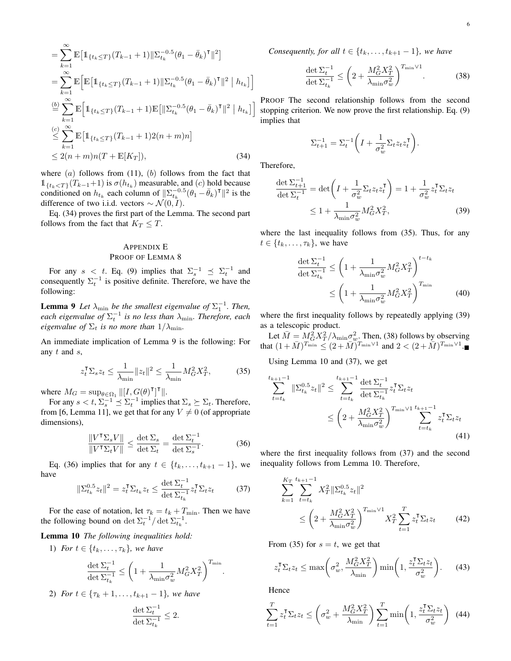$$
= \sum_{k=1}^{\infty} \mathbb{E} \Big[ \mathbb{1}_{\{t_k \le T\}} (T_{k-1} + 1) \| \Sigma_{t_k}^{-0.5} (\theta_1 - \bar{\theta}_k)^{\mathsf{T}} \|^2 \Big] = \sum_{k=1}^{\infty} \mathbb{E} \Big[ \mathbb{E} \Big[ \mathbb{1}_{\{t_k \le T\}} (T_{k-1} + 1) \| \Sigma_{t_k}^{-0.5} (\theta_1 - \bar{\theta}_k)^{\mathsf{T}} \|^2 \mid h_{t_k} \Big] \n\stackrel{(b)}{=} \sum_{k=1}^{\infty} \mathbb{E} \Big[ \mathbb{1}_{\{t_k \le T\}} (T_{k-1} + 1) \mathbb{E} \Big[ \| \Sigma_{t_k}^{-0.5} (\theta_1 - \bar{\theta}_k)^{\mathsf{T}} \|^2 \mid h_{t_k} \Big] \n\stackrel{(c)}{\le} \sum_{k=1}^{\infty} \mathbb{E} \Big[ \mathbb{1}_{\{t_k \le T\}} (T_{k-1} + 1) 2(n+m) n \Big] \n\le 2(n+m)n(T + \mathbb{E}[K_T]), \tag{34}
$$

where  $(a)$  follows from  $(11)$ ,  $(b)$  follows from the fact that  $\mathbb{1}_{\{t_k \le T\}}(T_{k-1}+1)$  is  $\sigma(h_{t_k})$  measurable, and  $(c)$  hold because conditioned on  $h_{t_k}$  each column of  $||\Sigma_{t_k}^{-0.5}(\theta_1 - \overline{\theta}_k)^T||^2$  is the difference of two i.i.d. vectors  $\sim \mathcal{N}(0, I)$ .

Eq. (34) proves the first part of the Lemma. The second part follows from the fact that  $K_T \leq T$ .

# APPENDIX E PROOF OF LEMMA 8

For any  $s < t$ . Eq. (9) implies that  $\Sigma_s^{-1} \preceq \Sigma_t^{-1}$  and consequently  $\Sigma_t^{-1}$  is positive definite. Therefore, we have the following:

**Lemma 9** Let  $\lambda_{\min}$  be the smallest eigenvalue of  $\Sigma_1^{-1}$ . Then,  $e$ ach eigenvalue of  $\Sigma_{t}^{-1}$  is no less than  $\lambda_{\min}$ . Therefore, each *eigenvalue of*  $\Sigma_t$  *is no more than*  $1/\lambda_{\min}$ *.* 

An immediate implication of Lemma 9 is the following: For any t and s,

$$
z_t^{\mathsf{T}} \Sigma_s z_t \le \frac{1}{\lambda_{\min}} \|z_t\|^2 \le \frac{1}{\lambda_{\min}} M_G^2 X_T^2,\tag{35}
$$

where  $M_G = \sup_{\theta \in \Omega_1} ||[I, G(\theta)^{\dagger}]^{\dagger}||.$ 

For any  $s < t$ ,  $\sum_{s=1}^{t-1} \leq \sum_{t=1}^{t}$  implies that  $\Sigma_s \succeq \Sigma_t$ . Therefore, from [6, Lemma 11], we get that for any  $V \neq 0$  (of appropriate dimensions),

$$
\frac{\|V^{\mathsf{T}}\Sigma_s V\|}{\|V^{\mathsf{T}}\Sigma_t V\|} \le \frac{\det \Sigma_s}{\det \Sigma_t} = \frac{\det \Sigma_t^{-1}}{\det \Sigma_s^{-1}}.
$$
 (36)

Eq. (36) implies that for any  $t \in \{t_k, \ldots, t_{k+1} - 1\}$ , we have

$$
\|\Sigma_{t_k}^{0.5} z_t\|^2 = z_t^\mathsf{T} \Sigma_{t_k} z_t \le \frac{\det \Sigma_{t}^{-1}}{\det \Sigma_{t_k}^{-1}} z_t^\mathsf{T} \Sigma_t z_t \tag{37}
$$

For the ease of notation, let  $\tau_k = t_k + T_{\min}$ . Then we have the following bound on  $\det \Sigma_t^{-1} / \det \Sigma_{t_k}^{-1}$ .

Lemma 10 *The following inequalities hold:*

1) *For*  $t \in \{t_k, \ldots, \tau_k\}$ *, we have* 

$$
\frac{\det \Sigma_t^{-1}}{\det \Sigma_{t_k}^{-1}} \leq \bigg(1 + \frac{1}{\lambda_{\min} \sigma_w^2} M_G^2 X_T^2 \bigg)^{T_{\min}}.
$$

2) *For*  $t \in \{\tau_k + 1, \ldots, t_{k+1} - 1\}$ *, we have* 

$$
\frac{\det \Sigma_t^{-1}}{\det \Sigma_{t_k}^{-1}} \leq 2.
$$

*Consequently, for all*  $t \in \{t_k, \ldots, t_{k+1} - 1\}$ *, we have* 

$$
\frac{\det \Sigma_t^{-1}}{\det \Sigma_{t_k}^{-1}} \le \left(2 + \frac{M_G^2 X_T^2}{\lambda_{\min} \sigma_w^2}\right)^{T_{\min} \vee 1}.
$$
 (38)

PROOF The second relationship follows from the second stopping criterion. We now prove the first relationship. Eq. (9) implies that

$$
\Sigma_{t+1}^{-1} = \Sigma_t^{-1} \left( I + \frac{1}{\sigma_w^2} \Sigma_t z_t z_t^\mathsf{T} \right).
$$

Therefore,

 $\mathbf{t}$ 

$$
\frac{\det \Sigma_{t+1}^{-1}}{\det \Sigma_t^{-1}} = \det \left( I + \frac{1}{\sigma_w^2} \Sigma_t z_t z_t^\mathsf{T} \right) = 1 + \frac{1}{\sigma_w^2} z_t^\mathsf{T} \Sigma_t z_t
$$
\n
$$
\leq 1 + \frac{1}{\lambda_{\min} \sigma_w^2} M_G^2 X_T^2, \tag{39}
$$

where the last inequality follows from (35). Thus, for any  $t \in \{t_k, \ldots, \tau_k\}$ , we have

$$
\frac{\det \Sigma_t^{-1}}{\det \Sigma_{t_k}^{-1}} \le \left(1 + \frac{1}{\lambda_{\min} \sigma_w^2} M_G^2 X_T^2\right)^{t - t_k}
$$

$$
\le \left(1 + \frac{1}{\lambda_{\min} \sigma_w^2} M_G^2 X_T^2\right)^{T_{\min}} \tag{40}
$$

where the first inequality follows by repeatedly applying (39) as a telescopic product.

Let  $\bar{M} = M_G^2 X_T^2 / \lambda_{\min} \sigma_w^2$ . Then, (38) follows by observing that  $(1 + \bar{M})^{T_{\min}} \le (2 + \bar{M})^{T_{\min} \vee 1}$  and  $2 < (2 + \bar{M})^{T_{\min} \vee 1}$ .

Using Lemma 10 and (37), we get

$$
\sum_{t=t_k}^{k+1-1} \|\Sigma_{t_k}^{0.5} z_t\|^2 \le \sum_{t=t_k}^{t_{k+1}-1} \frac{\det \Sigma_t^{-1}}{\det \Sigma_{t_k}^{-1}} z_t^\mathsf{T} \Sigma_t z_t
$$

$$
\le \left(2 + \frac{M_G^2 X_T^2}{\lambda_{\min} \sigma_w^2}\right)^{T_{\min} \vee 1} \sum_{t=t_k}^{t_{k+1}-1} z_t^\mathsf{T} \Sigma_t z_t
$$
(41)

where the first inequality follows from (37) and the second inequality follows from Lemma 10. Therefore,

$$
\sum_{k=1}^{K_T} \sum_{t=t_k}^{t_{k+1}-1} X_T^2 \|\Sigma_{t_k}^{0.5} z_t\|^2
$$
\n
$$
\leq \left(2 + \frac{M_G^2 X_T^2}{\lambda_{\min} \sigma_w^2}\right)^{T_{\min} \vee 1} X_T^2 \sum_{t=1}^T z_t^T \Sigma_t z_t \qquad (42)
$$

From (35) for  $s = t$ , we get that

$$
z_t^{\mathsf{T}} \Sigma_t z_t \le \max\left(\sigma_w^2, \frac{M_G^2 X_T^2}{\lambda_{\min}}\right) \min\left(1, \frac{z_t^{\mathsf{T}} \Sigma_t z_t}{\sigma_w^2}\right). \tag{43}
$$

Hence

$$
\sum_{t=1}^{T} z_t^{\mathsf{T}} \Sigma_t z_t \le \left( \sigma_w^2 + \frac{M_G^2 X_T^2}{\lambda_{\min}} \right) \sum_{t=1}^{T} \min \left( 1, \frac{z_t^{\mathsf{T}} \Sigma_t z_t}{\sigma_w^2} \right) \tag{44}
$$